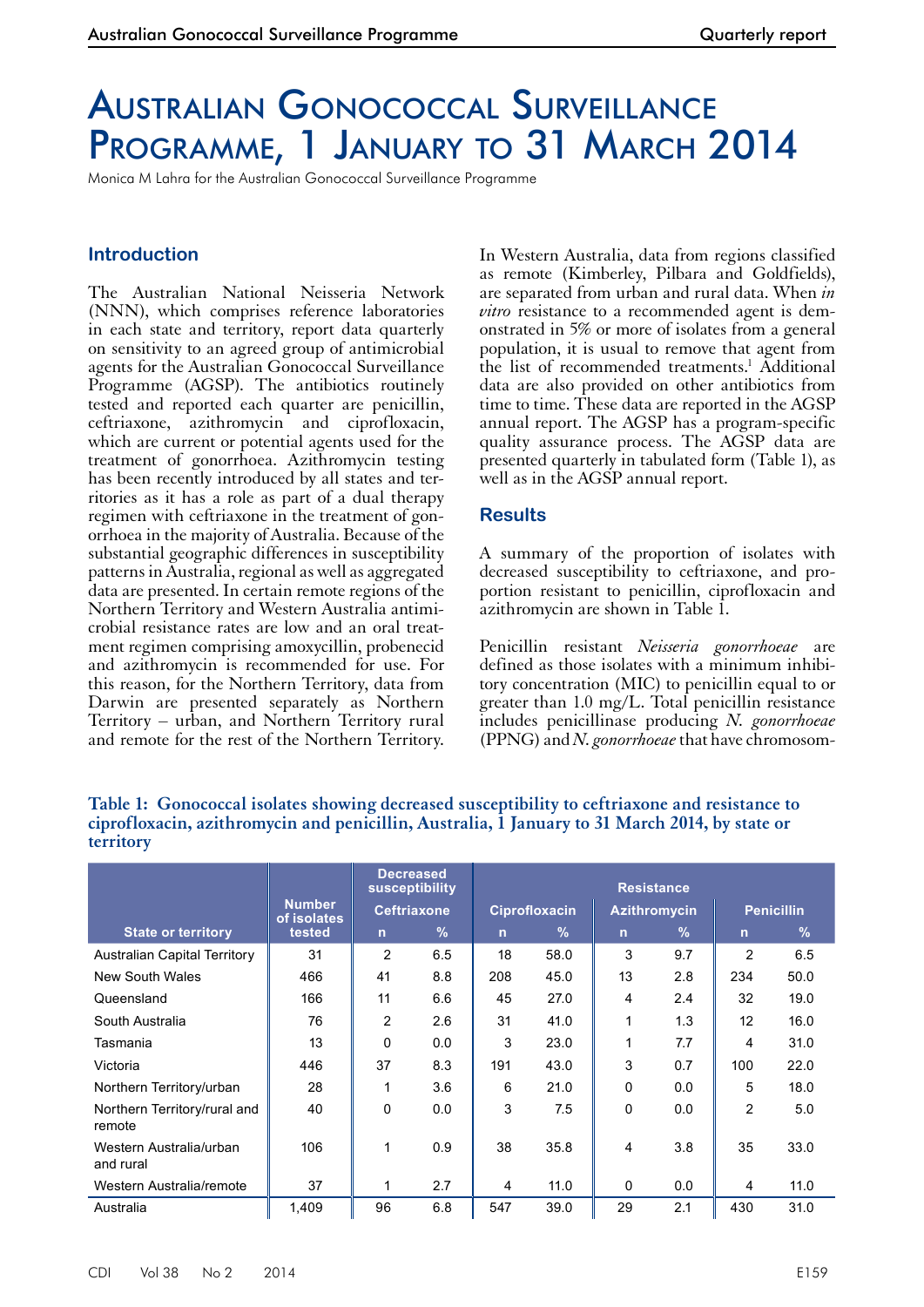# Australian Gonococcal Surveillance PROGRAMME, 1 JANUARY TO 31 MARCH 2014

Monica M Lahra for the Australian Gonococcal Surveillance Programme

## **Introduction**

The Australian National Neisseria Network (NNN), which comprises reference laboratories in each state and territory, report data quarterly on sensitivity to an agreed group of antimicrobial agents for the Australian Gonococcal Surveillance Programme (AGSP). The antibiotics routinely tested and reported each quarter are penicillin, ceftriaxone, azithromycin and ciprofloxacin, which are current or potential agents used for the treatment of gonorrhoea. Azithromycin testing has been recently introduced by all states and territories as it has a role as part of a dual therapy regimen with ceftriaxone in the treatment of gonorrhoea in the majority of Australia. Because of the substantial geographic differences in susceptibility patterns in Australia, regional as well as aggregated data are presented. In certain remote regions of the Northern Territory and Western Australia antimicrobial resistance rates are low and an oral treatment regimen comprising amoxycillin, probenecid and azithromycin is recommended for use. For this reason, for the Northern Territory, data from Darwin are presented separately as Northern Territory – urban, and Northern Territory rural and remote for the rest of the Northern Territory.

In Western Australia, data from regions classified as remote (Kimberley, Pilbara and Goldfields), are separated from urban and rural data. When *in vitro* resistance to a recommended agent is demonstrated in 5% or more of isolates from a general population, it is usual to remove that agent from the list of recommended treatments.<sup>1</sup> Additional data are also provided on other antibiotics from time to time. These data are reported in the AGSP annual report. The AGSP has a program-specific quality assurance process. The AGSP data are presented quarterly in tabulated form (Table 1), as well as in the AGSP annual report.

### **Results**

A summary of the proportion of isolates with decreased susceptibility to ceftriaxone, and proportion resistant to penicillin, ciprofloxacin and azithromycin are shown in Table 1.

Penicillin resistant *Neisseria gonorrhoeae* are defined as those isolates with a minimum inhibitory concentration (MIC) to penicillin equal to or greater than 1.0 mg/L. Total penicillin resistance includes penicillinase producing *N. gonorrhoeae* (PPNG) and *N. gonorrhoeae* that have chromosom-

### **Table 1: Gonococcal isolates showing decreased susceptibility to ceftriaxone and resistance to ciprofloxacin, azithromycin and penicillin, Australia, 1 January to 31 March 2014, by state or territory**

|                                        |                                        |                    | <b>Decreased</b><br><b>Resistance</b><br>susceptibility |                |               |                     |               |                   |               |
|----------------------------------------|----------------------------------------|--------------------|---------------------------------------------------------|----------------|---------------|---------------------|---------------|-------------------|---------------|
|                                        | <b>Number</b><br>of isolates<br>tested | <b>Ceftriaxone</b> |                                                         | Ciprofloxacin  |               | <b>Azithromycin</b> |               | <b>Penicillin</b> |               |
| <b>State or territory</b>              |                                        | $\overline{n}$     | $\%$                                                    | $\overline{ }$ | $\frac{9}{6}$ | n                   | $\frac{9}{6}$ | $\mathsf{n}$      | $\frac{9}{6}$ |
| <b>Australian Capital Territory</b>    | 31                                     | $\overline{2}$     | 6.5                                                     | 18             | 58.0          | 3                   | 9.7           | 2                 | 6.5           |
| <b>New South Wales</b>                 | 466                                    | 41                 | 8.8                                                     | 208            | 45.0          | 13                  | 2.8           | 234               | 50.0          |
| Queensland                             | 166                                    | 11                 | 6.6                                                     | 45             | 27.0          | 4                   | 2.4           | 32                | 19.0          |
| South Australia                        | 76                                     | $\overline{2}$     | 2.6                                                     | 31             | 41.0          | 1                   | 1.3           | 12                | 16.0          |
| Tasmania                               | 13                                     | $\Omega$           | 0.0                                                     | 3              | 23.0          | 1                   | 7.7           | 4                 | 31.0          |
| Victoria                               | 446                                    | 37                 | 8.3                                                     | 191            | 43.0          | 3                   | 0.7           | 100               | 22.0          |
| Northern Territory/urban               | 28                                     | 1                  | 3.6                                                     | 6              | 21.0          | 0                   | 0.0           | 5                 | 18.0          |
| Northern Territory/rural and<br>remote | 40                                     | 0                  | 0.0                                                     | 3              | 7.5           | 0                   | 0.0           | 2                 | 5.0           |
| Western Australia/urban<br>and rural   | 106                                    | 1                  | 0.9                                                     | 38             | 35.8          | 4                   | 3.8           | 35                | 33.0          |
| Western Australia/remote               | 37                                     | 1                  | 2.7                                                     | 4              | 11.0          | 0                   | 0.0           | 4                 | 11.0          |
| Australia                              | 1.409                                  | 96                 | 6.8                                                     | 547            | 39.0          | 29                  | 2.1           | 430               | 31.0          |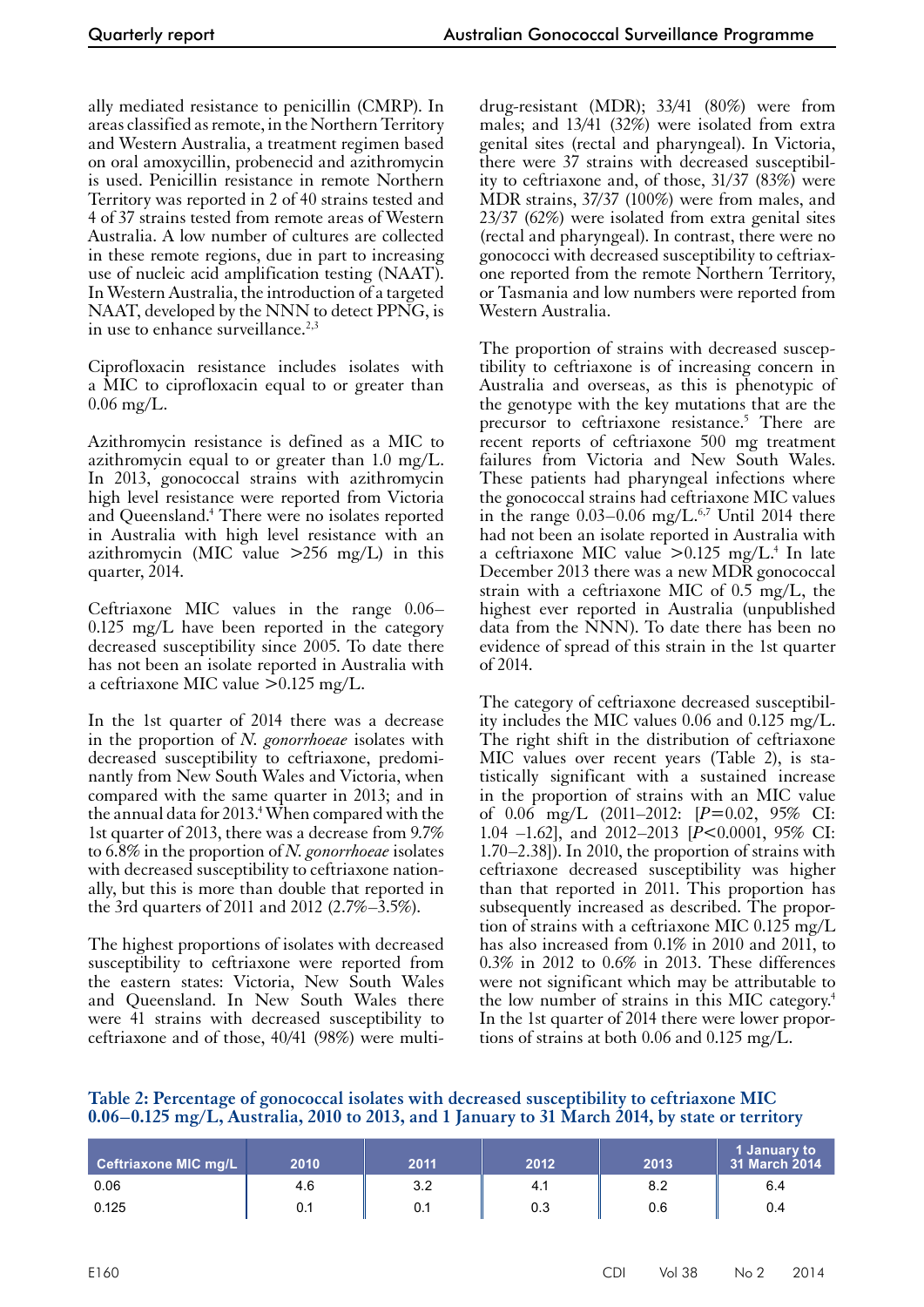ally mediated resistance to penicillin (CMRP). In areas classified as remote, in the Northern Territory and Western Australia, a treatment regimen based on oral amoxycillin, probenecid and azithromycin is used. Penicillin resistance in remote Northern Territory was reported in 2 of 40 strains tested and 4 of 37 strains tested from remote areas of Western Australia. A low number of cultures are collected in these remote regions, due in part to increasing use of nucleic acid amplification testing (NAAT). In Western Australia, the introduction of a targeted NAAT, developed by the NNN to detect PPNG, is in use to enhance surveillance.<sup>2,3</sup>

Ciprofloxacin resistance includes isolates with a MIC to ciprofloxacin equal to or greater than  $0.06 \,\mathrm{mg/L}$ .

Azithromycin resistance is defined as a MIC to azithromycin equal to or greater than 1.0 mg/L. In 2013, gonococcal strains with azithromycin high level resistance were reported from Victoria and Queensland.<sup>4</sup> There were no isolates reported in Australia with high level resistance with an azithromycin (MIC value  $>256$  mg/L) in this quarter, 2014.

Ceftriaxone MIC values in the range 0.06– 0.125 mg/L have been reported in the category decreased susceptibility since 2005. To date there has not been an isolate reported in Australia with a ceftriaxone MIC value >0.125 mg/L.

In the 1st quarter of 2014 there was a decrease in the proportion of *N. gonorrhoeae* isolates with decreased susceptibility to ceftriaxone, predominantly from New South Wales and Victoria, when compared with the same quarter in 2013; and in the annual data for 2013. $^4$  When compared with the 1st quarter of 2013, there was a decrease from 9.7% to 6.8% in the proportion of *N. gonorrhoeae* isolates with decreased susceptibility to ceftriaxone nation- ally, but this is more than double that reported in the 3rd quarters of 2011 and 2012 (2.7%–3.5%).

The highest proportions of isolates with decreased susceptibility to ceftriaxone were reported from the eastern states: Victoria, New South Wales and Queensland. In New South Wales there were 41 strains with decreased susceptibility to ceftriaxone and of those, 40/41 (98%) were multidrug-resistant (MDR); 33/41 (80%) were from males; and 13/41 (32%) were isolated from extra genital sites (rectal and pharyngeal). In Victoria, there were 37 strains with decreased susceptibility to ceftriaxone and, of those,  $31/37$   $(83\%)$  were MDR strains, 37/37 (100%) were from males, and 23/37 (62%) were isolated from extra genital sites (rectal and pharyngeal). In contrast, there were no gonococci with decreased susceptibility to ceftriaxone reported from the remote Northern Territory, or Tasmania and low numbers were reported from Western Australia.

The proportion of strains with decreased susceptibility to ceftriaxone is of increasing concern in Australia and overseas, as this is phenotypic of the genotype with the key mutations that are the precursor to ceftriaxone resistance.<sup>5</sup> There are recent reports of ceftriaxone 500 mg treatment failures from Victoria and New South Wales. These patients had pharyngeal infections where the gonococcal strains had ceftriaxone MIC values in the range  $0.03-0.06$  mg/L.<sup>6,7</sup> Until 2014 there had not been an isolate reported in Australia with a ceftriaxone MIC value  $> 0.125$  mg/L.<sup>4</sup> In late December 2013 there was a new MDR gonococcal strain with a ceftriaxone MIC of 0.5 mg/L, the highest ever reported in Australia (unpublished data from the NNN). To date there has been no evidence of spread of this strain in the 1st quarter of 2014.

The category of ceftriaxone decreased susceptibility includes the MIC values 0.06 and 0.125 mg/L. The right shift in the distribution of ceftriaxone MIC values over recent years (Table 2), is sta-<br>tistically significant with a sustained increase in the proportion of strains with an MIC value of 0.06 mg/L (2011–2012: [*P*=0.02, 95% CI: 1.04 –1.62], and 2012–2013 [*P*<0.0001, 95% CI: 1.70–2.38]). In 2010, the proportion of strains with ceftriaxone decreased susceptibility was higher than that reported in 2011. This proportion has subsequently increased as described. The proportion of strains with a ceftriaxone MIC 0.125 mg/L has also increased from 0.1% in 2010 and 2011, to 0.3% in 2012 to 0.6% in 2013. These differences were not significant which may be attributable to the low number of strains in this MIC category.4 In the 1st quarter of 2014 there were lower proportions of strains at both 0.06 and 0.125 mg/L.

**Table 2: Percentage of gonococcal isolates with decreased susceptibility to ceftriaxone MIC 0.06–0.125 mg/L, Australia, 2010 to 2013, and 1 January to 31 March 2014, by state or territory**

| <b>Ceftriaxone MIC mg/L</b> | 2010 | 2011 | 2012 | 2013 | 1 January to<br>31 March 2014 |
|-----------------------------|------|------|------|------|-------------------------------|
| 0.06                        | 4.6  | 3.2  | 4.1  | 8.2  | 6.4                           |
| 0.125                       | 0.1  | 0.1  | 0.3  | 0.6  | 0.4                           |